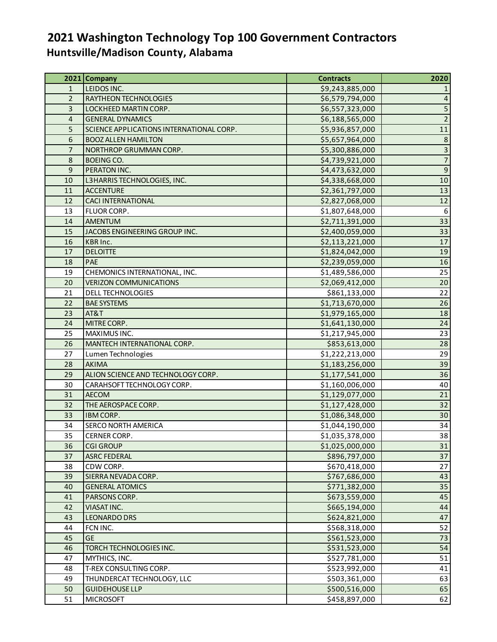## **2021 Washington Technology Top 100 Government Contractors Huntsville/Madison County, Alabama**

|                | 2021 Company                             | <b>Contracts</b> | 2020                    |
|----------------|------------------------------------------|------------------|-------------------------|
| 1              | LEIDOS INC.                              | \$9,243,885,000  |                         |
| $\overline{2}$ | RAYTHEON TECHNOLOGIES                    | \$6,579,794,000  | $\overline{4}$          |
| 3              | LOCKHEED MARTIN CORP.                    | \$6,557,323,000  | $\overline{\mathbf{5}}$ |
| 4              | <b>GENERAL DYNAMICS</b>                  | \$6,188,565,000  | $\overline{2}$          |
| 5              | SCIENCE APPLICATIONS INTERNATIONAL CORP. | \$5,936,857,000  | $11\,$                  |
| 6              | <b>BOOZ ALLEN HAMILTON</b>               | \$5,657,964,000  | $\,$ 8 $\,$             |
| $\overline{7}$ | NORTHROP GRUMMAN CORP.                   | \$5,300,886,000  | $\overline{3}$          |
| 8              | <b>BOEING CO.</b>                        | \$4,739,921,000  | $\overline{7}$          |
| 9              | PERATON INC.                             | \$4,473,632,000  | $\boldsymbol{9}$        |
| 10             | L3HARRIS TECHNOLOGIES, INC.              | \$4,338,668,000  | $10$                    |
| 11             | <b>ACCENTURE</b>                         | \$2,361,797,000  | 13                      |
| 12             | <b>CACI INTERNATIONAL</b>                | \$2,827,068,000  | 12                      |
| 13             | FLUOR CORP.                              | \$1,807,648,000  | 6                       |
| 14             | <b>AMENTUM</b>                           | \$2,711,391,000  | 33                      |
| 15             | JACOBS ENGINEERING GROUP INC.            | \$2,400,059,000  | 33                      |
| 16             | <b>KBR Inc.</b>                          | \$2,113,221,000  | 17                      |
| 17             | <b>DELOITTE</b>                          | \$1,824,042,000  | 19                      |
| 18             | PAE                                      | \$2,239,059,000  | 16                      |
| 19             | CHEMONICS INTERNATIONAL, INC.            | \$1,489,586,000  | 25                      |
| 20             | <b>VERIZON COMMUNICATIONS</b>            | \$2,069,412,000  | $20\,$                  |
| 21             | DELL TECHNOLOGIES                        | \$861,133,000    | 22                      |
| 22             | <b>BAE SYSTEMS</b>                       | \$1,713,670,000  | 26                      |
| 23             | AT&T                                     | \$1,979,165,000  | 18                      |
| 24             | MITRE CORP.                              | \$1,641,130,000  | 24                      |
| 25             | MAXIMUS INC.                             | \$1,217,945,000  | 23                      |
| 26             | MANTECH INTERNATIONAL CORP.              | \$853,613,000    | 28                      |
| 27             | Lumen Technologies                       | \$1,222,213,000  | 29                      |
| 28             | <b>AKIMA</b>                             | \$1,183,256,000  | 39                      |
| 29             | ALION SCIENCE AND TECHNOLOGY CORP.       | \$1,177,541,000  | 36                      |
| 30             | CARAHSOFT TECHNOLOGY CORP.               | \$1,160,006,000  | 40                      |
| 31             | <b>AECOM</b>                             | \$1,129,077,000  | 21                      |
| 32             | THE AEROSPACE CORP.                      | \$1,127,428,000  | 32                      |
| 33             | IBM CORP.                                | \$1,086,348,000  | 30                      |
| 34             | <b>SERCO NORTH AMERICA</b>               | \$1,044,190,000  | 34                      |
| 35             | CERNER CORP.                             | \$1,035,378,000  | 38                      |
| 36             | <b>CGI GROUP</b>                         | \$1,025,000,000  | 31                      |
| 37             | <b>ASRC FEDERAL</b>                      | \$896,797,000    | 37                      |
| 38             | CDW CORP.                                | \$670,418,000    | 27                      |
| 39             | SIERRA NEVADA CORP.                      | \$767,686,000    | 43                      |
| 40             | <b>GENERAL ATOMICS</b>                   | \$771,382,000    | 35                      |
| 41             | PARSONS CORP.                            | \$673,559,000    | 45                      |
| 42             | VIASATINC.                               | \$665,194,000    | 44                      |
| 43             | <b>LEONARDO DRS</b>                      | \$624,821,000    | 47                      |
| 44             | FCN INC.                                 | \$568,318,000    | 52                      |
| 45             | <b>GE</b>                                | \$561,523,000    | 73                      |
| 46             | TORCH TECHNOLOGIES INC.                  | \$531,523,000    | 54                      |
| 47             | MYTHICS, INC.                            | \$527,781,000    | 51                      |
| 48             | T-REX CONSULTING CORP.                   | \$523,992,000    | 41                      |
| 49             | THUNDERCAT TECHNOLOGY, LLC               | \$503,361,000    | 63                      |
| 50             | <b>GUIDEHOUSE LLP</b>                    | \$500,516,000    | 65                      |
| 51             | <b>MICROSOFT</b>                         | \$458,897,000    | 62                      |